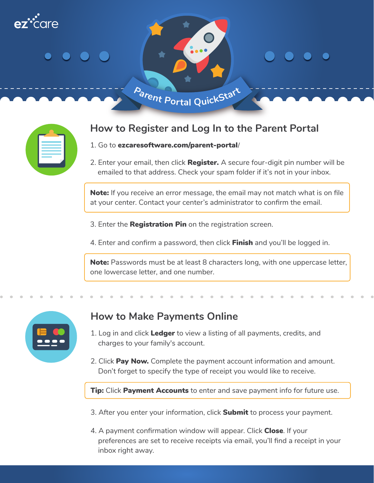

## **How to Register and Log In to the Parent Portal**

- 1. Go to ezcaresoftware.com/parent-portal**/**
- 2. Enter your email, then click **Register.** A secure four-digit pin number will be emailed to that address. Check your spam folder if it's not in your inbox.

**Note:** If you receive an error message, the email may not match what is on file at your center. Contact your center's administrator to confirm the email.

- 3. Enter the Registration Pin on the registration screen.
- 4. Enter and confirm a password, then click **Finish** and you'll be logged in.

Note: Passwords must be at least 8 characters long, with one uppercase letter, one lowercase letter, and one number.

| <b>.</b><br>$\overline{\phantom{a}}$ |  |
|--------------------------------------|--|
|                                      |  |

## **How to Make Payments Online**

- 1. Log in and click Ledger to view a listing of all payments, credits, and charges to your family's account.
- 2. Click Pay Now. Complete the payment account information and amount. Don't forget to specify the type of receipt you would like to receive.

**Tip:** Click Payment Accounts to enter and save payment info for future use.

- 3. After you enter your information, click **Submit** to process your payment.
- 4. A payment confirmation window will appear. Click Close. If your preferences are set to receive receipts via email, you'll find a receipt in your inbox right away.